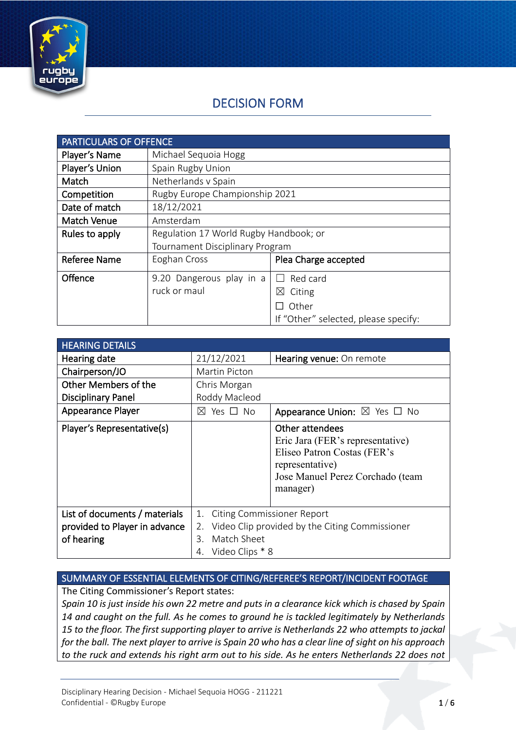

# DECISION FORM

| <b>PARTICULARS OF OFFENCE</b> |                                        |                                      |
|-------------------------------|----------------------------------------|--------------------------------------|
| Player's Name                 | Michael Sequoia Hogg                   |                                      |
| Player's Union                | Spain Rugby Union                      |                                      |
| Match                         | Netherlands v Spain                    |                                      |
| Competition                   | Rugby Europe Championship 2021         |                                      |
| Date of match                 | 18/12/2021                             |                                      |
| <b>Match Venue</b>            | Amsterdam                              |                                      |
| Rules to apply                | Regulation 17 World Rugby Handbook; or |                                      |
|                               | Tournament Disciplinary Program        |                                      |
| <b>Referee Name</b>           | Eoghan Cross                           | Plea Charge accepted                 |
| Offence                       | 9.20 Dangerous play in a               | Red card                             |
|                               | ruck or maul                           | Citing<br>⊠                          |
|                               |                                        | Other                                |
|                               |                                        | If "Other" selected, please specify: |

| <b>HEARING DETAILS</b>                                                       |                                                                                                                                               |                                                                                                                                                       |
|------------------------------------------------------------------------------|-----------------------------------------------------------------------------------------------------------------------------------------------|-------------------------------------------------------------------------------------------------------------------------------------------------------|
| Hearing date                                                                 | 21/12/2021                                                                                                                                    | Hearing venue: On remote                                                                                                                              |
| Chairperson/JO                                                               | Martin Picton                                                                                                                                 |                                                                                                                                                       |
| Other Members of the                                                         | Chris Morgan                                                                                                                                  |                                                                                                                                                       |
| <b>Disciplinary Panel</b>                                                    | Roddy Macleod                                                                                                                                 |                                                                                                                                                       |
| Appearance Player                                                            | Yes □ No<br>$\bowtie$                                                                                                                         | Appearance Union: $\boxtimes$ Yes $\Box$ No                                                                                                           |
| Player's Representative(s)                                                   |                                                                                                                                               | Other attendees<br>Eric Jara (FER's representative)<br>Eliseo Patron Costas (FER's<br>representative)<br>Jose Manuel Perez Corchado (team<br>manager) |
| List of documents / materials<br>provided to Player in advance<br>of hearing | <b>Citing Commissioner Report</b><br>1.<br>Video Clip provided by the Citing Commissioner<br>2.<br>Match Sheet<br>3.<br>Video Clips * 8<br>4. |                                                                                                                                                       |

## SUMMARY OF ESSENTIAL ELEMENTS OF CITING/REFEREE'S REPORT/INCIDENT FOOTAGE

The Citing Commissioner's Report states:

*Spain 10 is just inside his own 22 metre and puts in a clearance kick which is chased by Spain 14 and caught on the full. As he comes to ground he is tackled legitimately by Netherlands 15 to the floor. The first supporting player to arrive is Netherlands 22 who attempts to jackal for the ball. The next player to arrive is Spain 20 who has a clear line of sight on his approach to the ruck and extends his right arm out to his side. As he enters Netherlands 22 does not*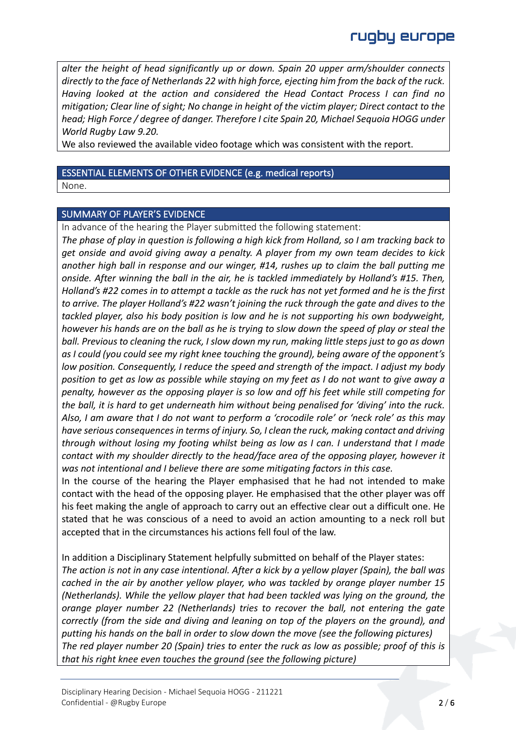*alter the height of head significantly up or down. Spain 20 upper arm/shoulder connects directly to the face of Netherlands 22 with high force, ejecting him from the back of the ruck. Having looked at the action and considered the Head Contact Process I can find no mitigation; Clear line of sight; No change in height of the victim player; Direct contact to the head; High Force / degree of danger. Therefore I cite Spain 20, Michael Sequoia HOGG under World Rugby Law 9.20.*

We also reviewed the available video footage which was consistent with the report.

### ESSENTIAL ELEMENTS OF OTHER EVIDENCE (e.g. medical reports)

None.

#### SUMMARY OF PLAYER'S EVIDENCE

In advance of the hearing the Player submitted the following statement:

*The phase of play in question is following a high kick from Holland, so I am tracking back to get onside and avoid giving away a penalty. A player from my own team decides to kick another high ball in response and our winger, #14, rushes up to claim the ball putting me onside. After winning the ball in the air, he is tackled immediately by Holland's #15. Then, Holland's #22 comes in to attempt a tackle as the ruck has not yet formed and he is the first to arrive. The player Holland's #22 wasn't joining the ruck through the gate and dives to the tackled player, also his body position is low and he is not supporting his own bodyweight, however his hands are on the ball as he is trying to slow down the speed of play or steal the ball. Previous to cleaning the ruck, I slow down my run, making little steps just to go as down as I could (you could see my right knee touching the ground), being aware of the opponent's low position. Consequently, I reduce the speed and strength of the impact. I adjust my body position to get as low as possible while staying on my feet as I do not want to give away a penalty, however as the opposing player is so low and off his feet while still competing for the ball, it is hard to get underneath him without being penalised for 'diving' into the ruck. Also, I am aware that I do not want to perform a 'crocodile role' or 'neck role' as this may have serious consequences in terms of injury. So, I clean the ruck, making contact and driving through without losing my footing whilst being as low as I can. I understand that I made contact with my shoulder directly to the head/face area of the opposing player, however it was not intentional and I believe there are some mitigating factors in this case.*

In the course of the hearing the Player emphasised that he had not intended to make contact with the head of the opposing player. He emphasised that the other player was off his feet making the angle of approach to carry out an effective clear out a difficult one. He stated that he was conscious of a need to avoid an action amounting to a neck roll but accepted that in the circumstances his actions fell foul of the law.

In addition a Disciplinary Statement helpfully submitted on behalf of the Player states: *The action is not in any case intentional. After a kick by a yellow player (Spain), the ball was cached in the air by another yellow player, who was tackled by orange player number 15 (Netherlands). While the yellow player that had been tackled was lying on the ground, the orange player number 22 (Netherlands) tries to recover the ball, not entering the gate correctly (from the side and diving and leaning on top of the players on the ground), and putting his hands on the ball in order to slow down the move (see the following pictures) The red player number 20 (Spain) tries to enter the ruck as low as possible; proof of this is that his right knee even touches the ground (see the following picture)*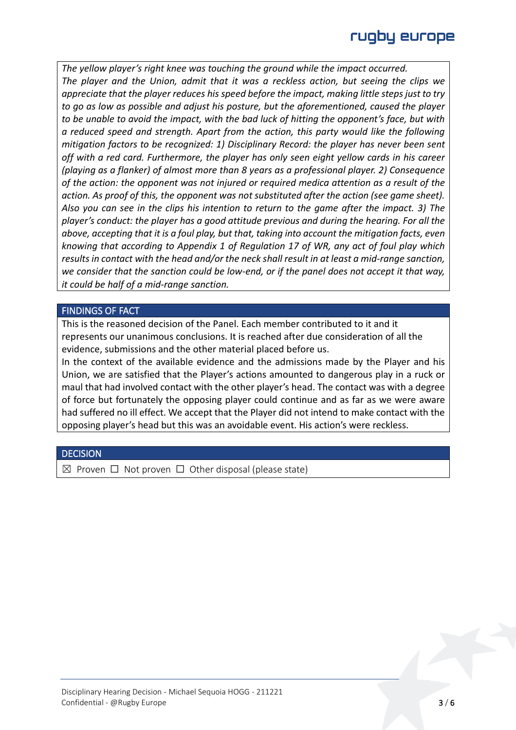*The yellow player's right knee was touching the ground while the impact occurred. The player and the Union, admit that it was a reckless action, but seeing the clips we appreciate that the player reduces his speed before the impact, making little steps just to try to go as low as possible and adjust his posture, but the aforementioned, caused the player to be unable to avoid the impact, with the bad luck of hitting the opponent's face, but with a reduced speed and strength. Apart from the action, this party would like the following mitigation factors to be recognized: 1) Disciplinary Record: the player has never been sent off with a red card. Furthermore, the player has only seen eight yellow cards in his career (playing as a flanker) of almost more than 8 years as a professional player. 2) Consequence of the action: the opponent was not injured or required medica attention as a result of the action. As proof of this, the opponent was not substituted after the action (see game sheet). Also you can see in the clips his intention to return to the game after the impact. 3) The player's conduct: the player has a good attitude previous and during the hearing. For all the above, accepting that it is a foul play, but that, taking into account the mitigation facts, even knowing that according to Appendix 1 of Regulation 17 of WR, any act of foul play which results in contact with the head and/or the neck shall result in at least a mid-range sanction, we consider that the sanction could be low-end, or if the panel does not accept it that way, it could be half of a mid-range sanction.*

#### FINDINGS OF FACT

This is the reasoned decision of the Panel. Each member contributed to it and it represents our unanimous conclusions. It is reached after due consideration of all the evidence, submissions and the other material placed before us.

In the context of the available evidence and the admissions made by the Player and his Union, we are satisfied that the Player's actions amounted to dangerous play in a ruck or maul that had involved contact with the other player's head. The contact was with a degree of force but fortunately the opposing player could continue and as far as we were aware had suffered no ill effect. We accept that the Player did not intend to make contact with the opposing player's head but this was an avoidable event. His action's were reckless.

#### **DECISION**

 $\boxtimes$  Proven  $\Box$  Not proven  $\Box$  Other disposal (please state)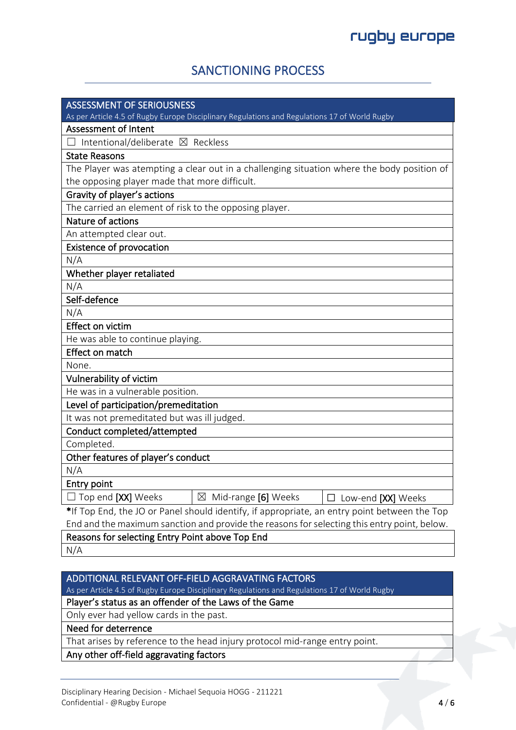## SANCTIONING PROCESS

| <b>ASSESSMENT OF SERIOUSNESS</b>                                                                                             |  |  |
|------------------------------------------------------------------------------------------------------------------------------|--|--|
| As per Article 4.5 of Rugby Europe Disciplinary Regulations and Regulations 17 of World Rugby<br><b>Assessment of Intent</b> |  |  |
| Intentional/deliberate ⊠ Reckless                                                                                            |  |  |
|                                                                                                                              |  |  |
| <b>State Reasons</b>                                                                                                         |  |  |
| The Player was atempting a clear out in a challenging situation where the body position of                                   |  |  |
| the opposing player made that more difficult.                                                                                |  |  |
| Gravity of player's actions                                                                                                  |  |  |
| The carried an element of risk to the opposing player.                                                                       |  |  |
| Nature of actions                                                                                                            |  |  |
| An attempted clear out.                                                                                                      |  |  |
| <b>Existence of provocation</b>                                                                                              |  |  |
| N/A                                                                                                                          |  |  |
| Whether player retaliated                                                                                                    |  |  |
| N/A                                                                                                                          |  |  |
| Self-defence                                                                                                                 |  |  |
| N/A                                                                                                                          |  |  |
| Effect on victim                                                                                                             |  |  |
| He was able to continue playing.                                                                                             |  |  |
| Effect on match                                                                                                              |  |  |
| None.                                                                                                                        |  |  |
| Vulnerability of victim                                                                                                      |  |  |
| He was in a vulnerable position.                                                                                             |  |  |
| Level of participation/premeditation                                                                                         |  |  |
| It was not premeditated but was ill judged.                                                                                  |  |  |
| Conduct completed/attempted                                                                                                  |  |  |
| Completed.                                                                                                                   |  |  |
| Other features of player's conduct                                                                                           |  |  |
| N/A                                                                                                                          |  |  |
| <b>Entry point</b>                                                                                                           |  |  |
| $\Box$ Top end <b>[XX]</b> Weeks<br>$\boxtimes$<br>Mid-range [6] Weeks<br>Low-end [XX] Weeks                                 |  |  |
| *If Top End, the JO or Panel should identify, if appropriate, an entry point between the Top                                 |  |  |
| End and the maximum sanction and provide the reasons for selecting this entry point, below.                                  |  |  |
| Reasons for selecting Entry Point above Top End                                                                              |  |  |
| N/A                                                                                                                          |  |  |

## ADDITIONAL RELEVANT OFF-FIELD AGGRAVATING FACTORS

As per Article 4.5 of Rugby Europe Disciplinary Regulations and Regulations 17 of World Rugby

### Player's status as an offender of the Laws of the Game

Only ever had yellow cards in the past.

### Need for deterrence

That arises by reference to the head injury protocol mid-range entry point.

Any other off-field aggravating factors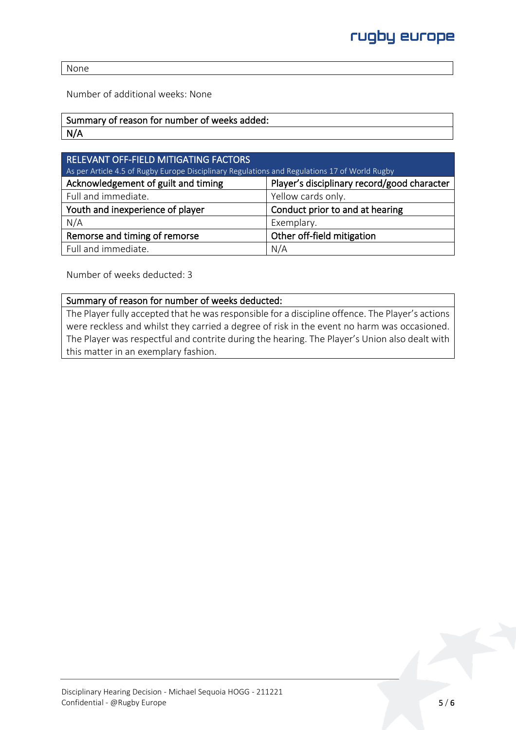None

Number of additional weeks: None

## Summary of reason for number of weeks added:

N/A

| <b>RELEVANT OFF-FIELD MITIGATING FACTORS</b><br>As per Article 4.5 of Rugby Europe Disciplinary Regulations and Regulations 17 of World Rugby |                                             |  |
|-----------------------------------------------------------------------------------------------------------------------------------------------|---------------------------------------------|--|
| Acknowledgement of guilt and timing                                                                                                           | Player's disciplinary record/good character |  |
| Full and immediate.                                                                                                                           | Yellow cards only.                          |  |
| Youth and inexperience of player                                                                                                              | Conduct prior to and at hearing             |  |
| N/A                                                                                                                                           | Exemplary.                                  |  |
| Remorse and timing of remorse                                                                                                                 | Other off-field mitigation                  |  |
| Full and immediate.                                                                                                                           | N/A                                         |  |

Number of weeks deducted: 3

#### Summary of reason for number of weeks deducted:

The Player fully accepted that he was responsible for a discipline offence. The Player's actions were reckless and whilst they carried a degree of risk in the event no harm was occasioned. The Player was respectful and contrite during the hearing. The Player's Union also dealt with this matter in an exemplary fashion.